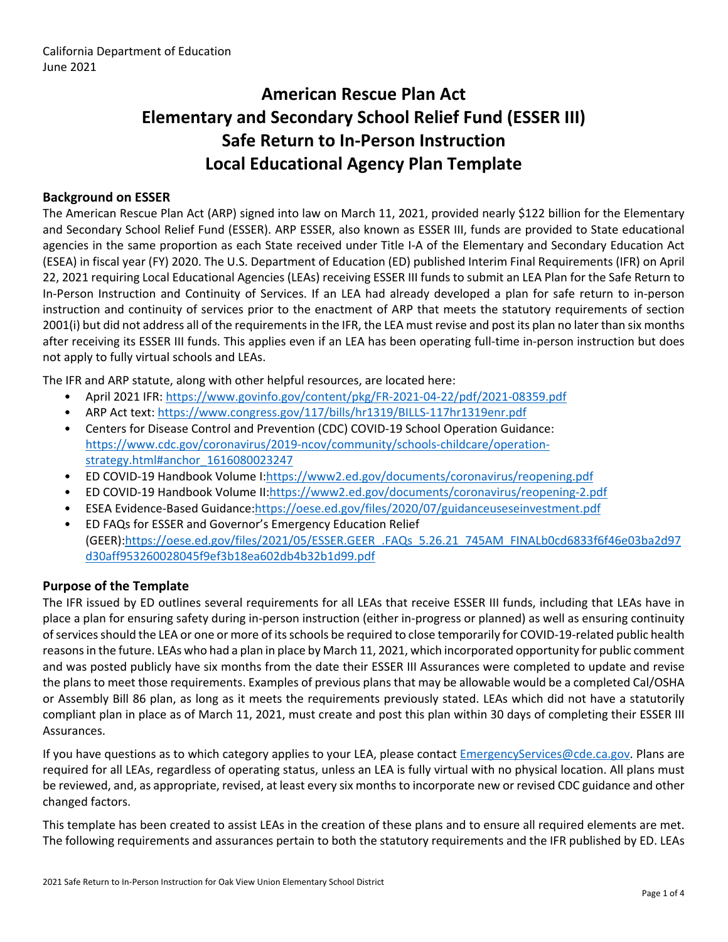# **American Rescue Plan Act Elementary and Secondary School Relief Fund (ESSER III) Safe Return to In-Person Instruction Local Educational Agency Plan Template**

## **Background on ESSER**

The American Rescue Plan Act (ARP) signed into law on March 11, 2021, provided nearly \$122 billion for the Elementary and Secondary School Relief Fund (ESSER). ARP ESSER, also known as ESSER III, funds are provided to State educational agencies in the same proportion as each State received under Title I-A of the Elementary and Secondary Education Act (ESEA) in fiscal year (FY) 2020. The U.S. Department of Education (ED) published Interim Final Requirements (IFR) on April 22, 2021 requiring Local Educational Agencies (LEAs) receiving ESSER III funds to submit an LEA Plan for the Safe Return to In-Person Instruction and Continuity of Services. If an LEA had already developed a plan for safe return to in-person instruction and continuity of services prior to the enactment of ARP that meets the statutory requirements of section 2001(i) but did not address all of the requirements in the IFR, the LEA must revise and post its plan no later than six months after receiving its ESSER III funds. This applies even if an LEA has been operating full-time in-person instruction but does not apply to fully virtual schools and LEAs.

The IFR and ARP statute, along with other helpful resources, are located here:

- April 2021 IFR: <https://www.govinfo.gov/content/pkg/FR-2021-04-22/pdf/2021-08359.pdf>
- ARP Act text: <https://www.congress.gov/117/bills/hr1319/BILLS-117hr1319enr.pdf>
- Centers for Disease Control and Prevention (CDC) COVID-19 School Operation Guidance: [https://www.cdc.gov/coronavirus/2019-ncov/community/schools-childcare/operation](https://www.cdc.gov/coronavirus/2019-ncov/community/schools-childcare/operation-strategy.html#anchor_1616080023247)[strategy.html#anchor\\_1616080023247](https://www.cdc.gov/coronavirus/2019-ncov/community/schools-childcare/operation-strategy.html#anchor_1616080023247)
- ED COVID-19 Handbook Volume I:[https://www2.ed.gov/documents/coronavirus/reopening.pdf](https://www2.ed.gov/documents/coronavirus/reopening.pdf%20)
- ED COVID-19 Handbook Volume II:<https://www2.ed.gov/documents/coronavirus/reopening-2.pdf>
- ESEA Evidence-Based Guidance[:https://oese.ed.gov/files/2020/07/guidanceuseseinvestment.pdf](https://oese.ed.gov/files/2020/07/guidanceuseseinvestment.pdf)
- ED FAQs for ESSER and Governor's Emergency Education Relief (GEER)[:https://oese.ed.gov/files/2021/05/ESSER.GEER\\_.FAQs\\_5.26.21\\_745AM\\_FINALb0cd6833f6f46e03ba2d97](https://oese.ed.gov/files/2021/05/ESSER.GEER_.FAQs_5.26.21_745AM_FINALb0cd6833f6f46e03ba2d97d30aff953260028045f9ef3b18ea602db4b32b1d99.pdf) [d30aff953260028045f9ef3b18ea602db4b32b1d99.pdf](https://oese.ed.gov/files/2021/05/ESSER.GEER_.FAQs_5.26.21_745AM_FINALb0cd6833f6f46e03ba2d97d30aff953260028045f9ef3b18ea602db4b32b1d99.pdf)

#### **Purpose of the Template**

The IFR issued by ED outlines several requirements for all LEAs that receive ESSER III funds, including that LEAs have in place a plan for ensuring safety during in-person instruction (either in-progress or planned) as well as ensuring continuity ofservicesshould the LEA or one or more of itsschools be required to close temporarily for COVID-19-related public health reasons in the future. LEAs who had a plan in place by March 11, 2021, which incorporated opportunity for public comment and was posted publicly have six months from the date their ESSER III Assurances were completed to update and revise the plans to meet those requirements. Examples of previous plans that may be allowable would be a completed Cal/OSHA or Assembly Bill 86 plan, as long as it meets the requirements previously stated. LEAs which did not have a statutorily compliant plan in place as of March 11, 2021, must create and post this plan within 30 days of completing their ESSER III Assurances.

If you have questions as to which category applies to your LEA, please contact [EmergencyServices@cde.ca.gov.](mailto:EmergencyServices@cde.ca.gov) Plans are required for all LEAs, regardless of operating status, unless an LEA is fully virtual with no physical location. All plans must be reviewed, and, as appropriate, revised, at least every six monthsto incorporate new or revised CDC guidance and other changed factors.

This template has been created to assist LEAs in the creation of these plans and to ensure all required elements are met. The following requirements and assurances pertain to both the statutory requirements and the IFR published by ED. LEAs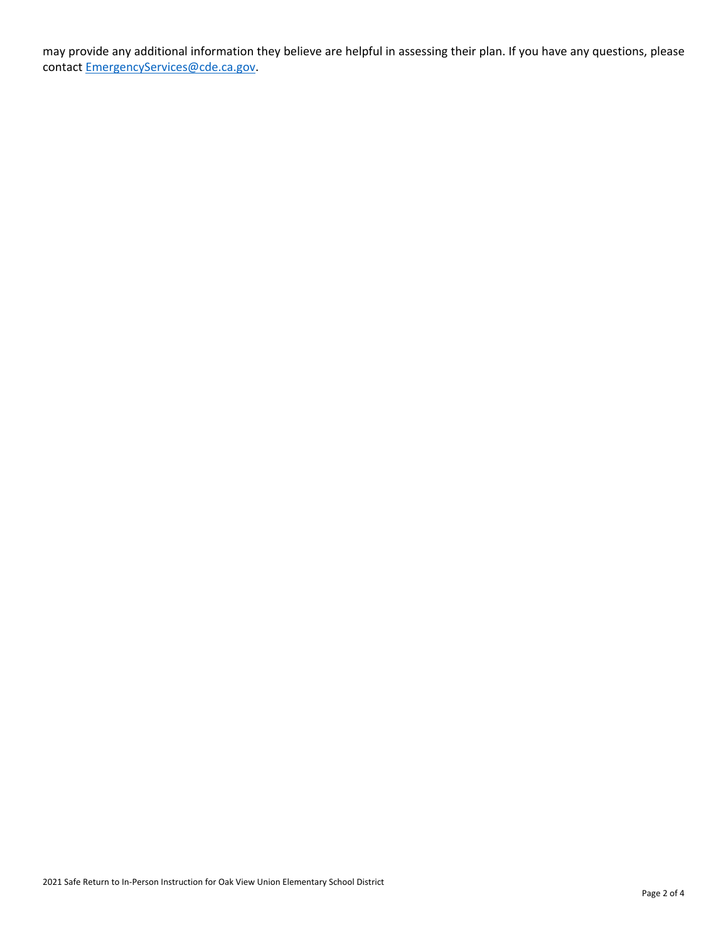may provide any additional information they believe are helpful in assessing their plan. If you have any questions, please contact [EmergencyServices@cde.ca.gov.](mailto:EmergencyServices@cde.ca.gov)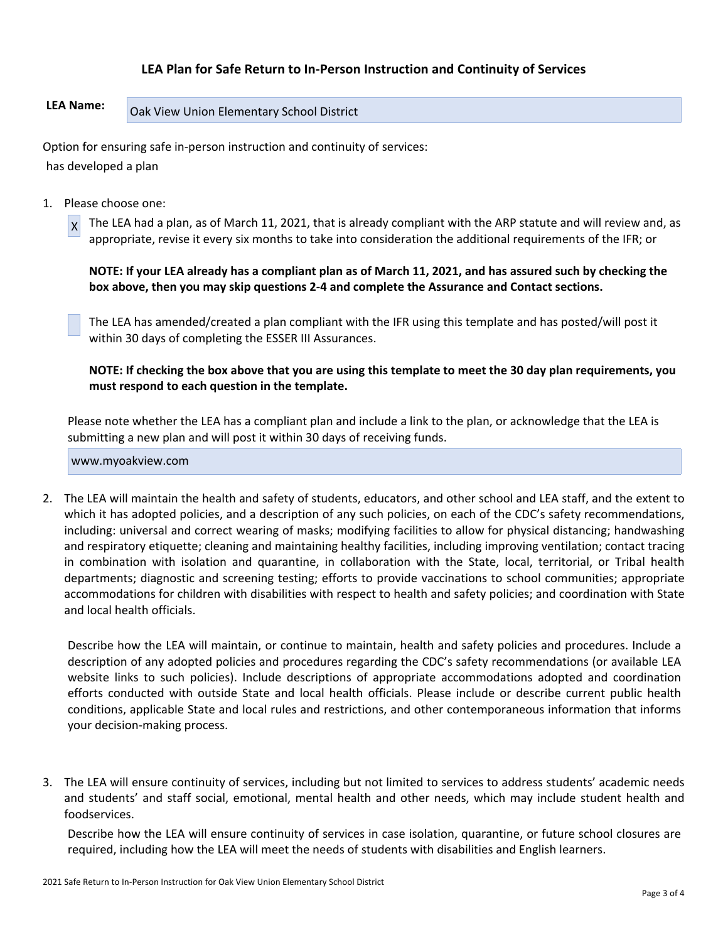## **LEA Plan for Safe Return to In-Person Instruction and Continuity of Services**

# **LEA Name:** Oak View Union Elementary School District

Option for ensuring safe in-person instruction and continuity of services: has developed a plan

1. Please choose one:

X The LEA had a plan, as of March 11, 2021, that is already compliant with the ARP statute and will review and, as appropriate, revise it every six months to take into consideration the additional requirements of the IFR; or

NOTE: If your LEA already has a compliant plan as of March 11, 2021, and has assured such by checking the **box above, then you may skip questions 2-4 and complete the Assurance and Contact sections.**

The LEA has amended/created a plan compliant with the IFR using this template and has posted/will post it within 30 days of completing the ESSER III Assurances.

NOTE: If checking the box above that you are using this template to meet the 30 day plan requirements, you **must respond to each question in the template.**

Please note whether the LEA has a compliant plan and include a link to the plan, or acknowledge that the LEA is submitting a new plan and will post it within 30 days of receiving funds.

www.myoakview.com

2. The LEA will maintain the health and safety of students, educators, and other school and LEA staff, and the extent to which it has adopted policies, and a description of any such policies, on each of the CDC's safety recommendations, including: universal and correct wearing of masks; modifying facilities to allow for physical distancing; handwashing and respiratory etiquette; cleaning and maintaining healthy facilities, including improving ventilation; contact tracing in combination with isolation and quarantine, in collaboration with the State, local, territorial, or Tribal health departments; diagnostic and screening testing; efforts to provide vaccinations to school communities; appropriate accommodations for children with disabilities with respect to health and safety policies; and coordination with State and local health officials.

Describe how the LEA will maintain, or continue to maintain, health and safety policies and procedures. Include a description of any adopted policies and procedures regarding the CDC's safety recommendations (or available LEA website links to such policies). Include descriptions of appropriate accommodations adopted and coordination efforts conducted with outside State and local health officials. Please include or describe current public health conditions, applicable State and local rules and restrictions, and other contemporaneous information that informs your decision-making process.

3. The LEA will ensure continuity of services, including but not limited to services to address students' academic needs and students' and staff social, emotional, mental health and other needs, which may include student health and foodservices.

Describe how the LEA will ensure continuity of services in case isolation, quarantine, or future school closures are required, including how the LEA will meet the needs of students with disabilities and English learners.